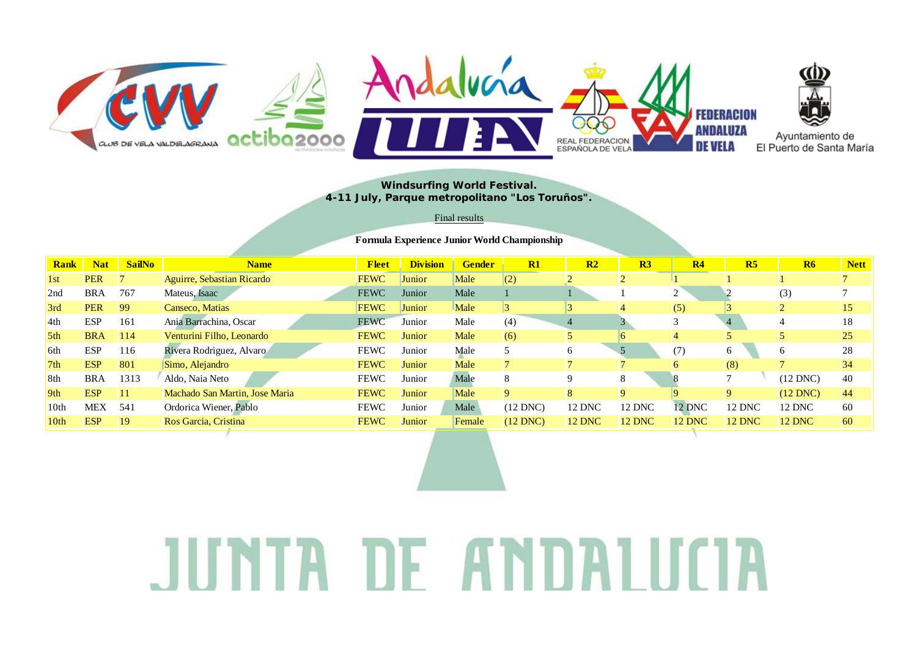

### **Windsurfing World Festival. 4-11 July, Parque metropolitano "Los Toruños".**

#### Final results

#### **Formula Experience Junior World Championship**

| <b>Rank</b>      | <b>Nat</b> | <b>SailNo</b> | <b>Name</b>                    | <b>Fleet</b> | <b>Division</b> | <b>Gender</b> | R1              | R <sub>2</sub> | R3            | R <sub>4</sub> | R <sub>5</sub> | R6            | <b>Nett</b>   |
|------------------|------------|---------------|--------------------------------|--------------|-----------------|---------------|-----------------|----------------|---------------|----------------|----------------|---------------|---------------|
| 1 <sub>st</sub>  | <b>PER</b> |               | Aguirre, Sebastian Ricardo     | <b>FEWC</b>  | Junior          | Male          | (2)             |                |               |                |                |               |               |
| 2nd              | <b>BRA</b> | 767           | Mateus, Isaac                  | <b>FEWC</b>  | Junior          | Male          |                 |                |               |                |                | (3)           |               |
| 3rd              | <b>PER</b> | 99            | Canseco, Matias                | <b>FEWC</b>  | Junior          | Male          | $\vert 3 \vert$ |                |               | (5)            |                |               | <sup>15</sup> |
| 4th              | <b>ESP</b> | 161           | Ania Barrachina, Oscar         | <b>FEWC</b>  | Junior          | Male          | (4)             |                |               |                |                |               | 18            |
| 5 <sup>th</sup>  | <b>BRA</b> | 114           | Venturini Filho, Leonardo      | <b>FEWC</b>  | Junior          | Male          | (6)             |                |               |                |                |               | 25            |
| 6th              | <b>ESP</b> | 116           | Rivera Rodriguez, Alvaro       | <b>FEWC</b>  | Junior          | Male          |                 | 6              |               | (7)            | 6              |               | 28            |
| 7 <sub>th</sub>  | <b>ESP</b> | 801           | Simo, Alejandro                | <b>FEWC</b>  | Junior          | Male          |                 |                |               |                | (8)            |               | 34            |
| 8th              | <b>BRA</b> | 1313          | Aldo, Naia Neto                | <b>FEWC</b>  | Junior          | Male          | 8               |                |               |                |                | $(12$ DNC)    | 40            |
| 9th              | <b>ESP</b> |               | Machado San Martin, Jose Maria | <b>FEWC</b>  | Junior          | Male          | 9               |                | 9             |                | $\mathbf Q$    | $(12$ DNC)    | 44            |
| 10 <sub>th</sub> | <b>MEX</b> | 541           | Ordorica Wiener, Pablo         | <b>FEWC</b>  | Junior          | Male          | $(12$ DNC)      | <b>12 DNC</b>  | 12 DNC        | <b>12 DNC</b>  | 12 DNC         | <b>12 DNC</b> | 60            |
| 10th             | <b>ESP</b> | 19            | Ros Garcia, Cristina           | <b>FEWC</b>  | Junior          | Female        | $(12$ DNC)      | <b>12 DNC</b>  | <b>12 DNC</b> | 12 DNC         | <b>12 DNC</b>  | <b>12 DNC</b> | 60            |

# TA DE ANDALITI  $\vert \hspace{.04cm} \bot \hspace{.04cm} \vert$ Ш